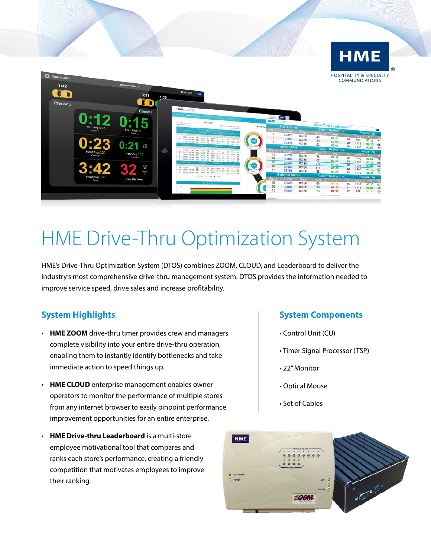

# HME Drive-Thru Optimization System

HME's Drive-Thru Optimization System (DTOS) combines ZOOM, CLOUD, and Leaderboard to deliver the industry's most comprehensive drive-thru management system. DTOS provides the information needed to improve service speed, drive sales and increase profitability.

## **System Highlights**

- **HME ZOOM** drive-thru timer provides crew and managers complete visibility into your entire drive-thru operation, enabling them to instantly identify bottlenecks and take immediate action to speed things up.
- **HME CLOUD** enterprise management enables owner operators to monitor the performance of multiple stores from any internet browser to easily pinpoint performance improvement opportunities for an entire enterprise.
- **HME Drive-thru Leaderboard** is a multi-store employee motivational tool that compares and ranks each store's performance, creating a friendly competition that motivates employees to improve their ranking.

### **System Components**

- Control Unit (CU)
- Timer Signal Processor (TSP)
- 22" Monitor
- Optical Mouse
- Set of Cables